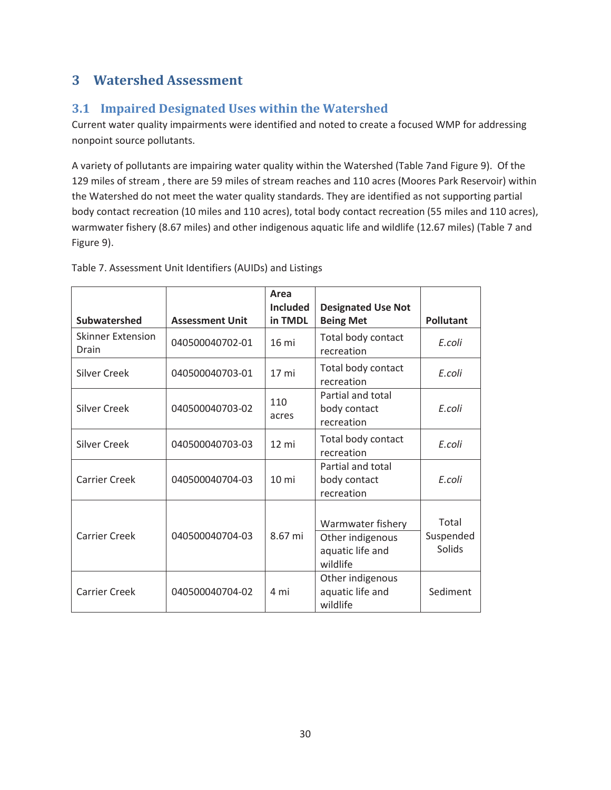# **3 Watershed Assessment**

# **3.1 Impaired Designated Uses within the Watershed**

Current water quality impairments were identified and noted to create a focused WMP for addressing nonpoint source pollutants.

A variety of pollutants are impairing water quality within the Watershed (Table 7and Figure 9). Of the 129 miles of stream , there are 59 miles of stream reaches and 110 acres (Moores Park Reservoir) within the Watershed do not meet the water quality standards. They are identified as not supporting partial body contact recreation (10 miles and 110 acres), total body contact recreation (55 miles and 110 acres), warmwater fishery (8.67 miles) and other indigenous aquatic life and wildlife (12.67 miles) (Table 7 and Figure 9).

|                                   |                        | Area<br><b>Included</b>                                                          | <b>Designated Use Not</b>                        |                              |
|-----------------------------------|------------------------|----------------------------------------------------------------------------------|--------------------------------------------------|------------------------------|
| Subwatershed                      | <b>Assessment Unit</b> | in TMDL                                                                          | <b>Being Met</b>                                 | <b>Pollutant</b>             |
| <b>Skinner Extension</b><br>Drain | 040500040702-01        | 16 mi                                                                            | Total body contact<br>recreation                 | E.coli                       |
| <b>Silver Creek</b>               | 040500040703-01        | 17 <sub>mi</sub>                                                                 | Total body contact<br>recreation                 | E.coli                       |
| <b>Silver Creek</b>               | 040500040703-02        | 110<br>acres                                                                     | Partial and total<br>body contact<br>recreation  | E.coli                       |
| <b>Silver Creek</b>               | 040500040703-03        | Total body contact<br>$12 \text{ mi}$<br>recreation                              |                                                  | E.coli                       |
| <b>Carrier Creek</b>              | 040500040704-03        | $10 \text{ mi}$                                                                  | Partial and total<br>body contact<br>recreation  | F.coli                       |
| <b>Carrier Creek</b>              | 040500040704-03        | Warmwater fishery<br>8.67 mi<br>Other indigenous<br>aquatic life and<br>wildlife |                                                  | Total<br>Suspended<br>Solids |
| <b>Carrier Creek</b>              | 040500040704-02        | 4 mi                                                                             | Other indigenous<br>aquatic life and<br>wildlife | Sediment                     |

Table 7. Assessment Unit Identifiers (AUIDs) and Listings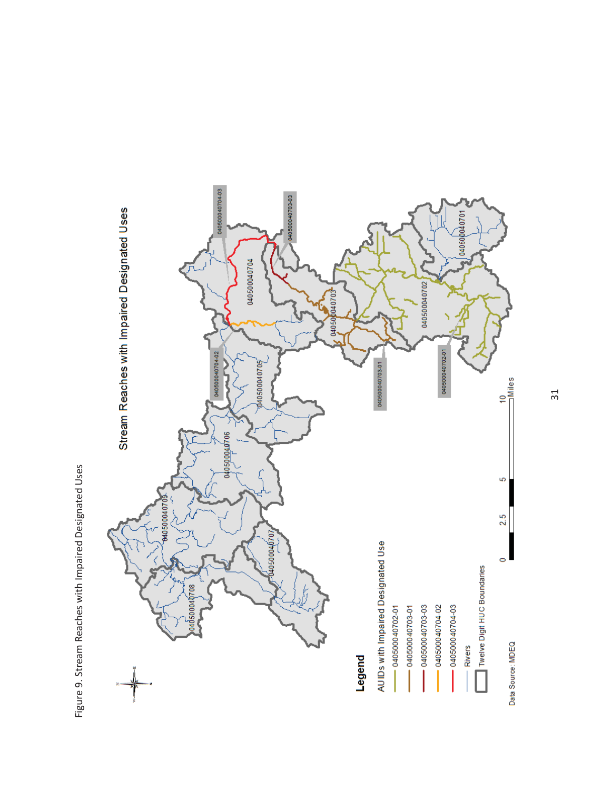

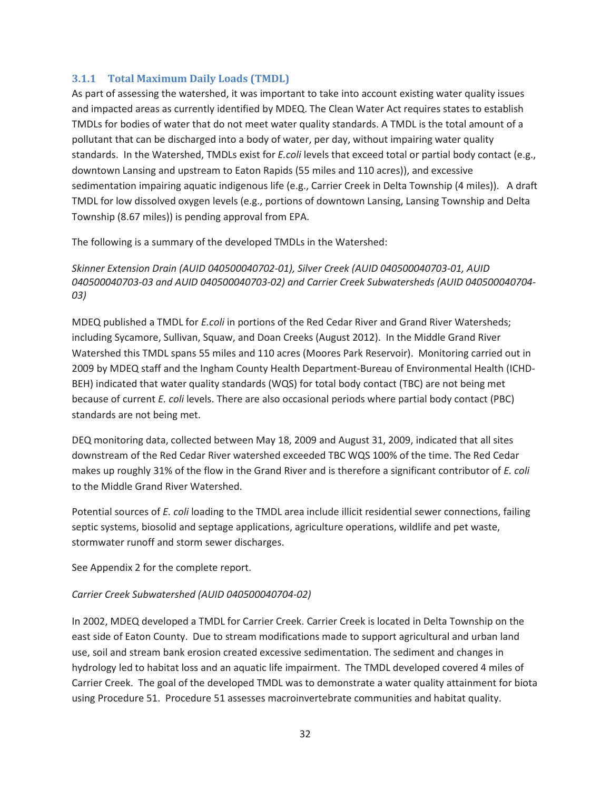### **3.1.1 Total Maximum Daily Loads (TMDL)**

As part of assessing the watershed, it was important to take into account existing water quality issues and impacted areas as currently identified by MDEQ. The Clean Water Act requires states to establish TMDLs for bodies of water that do not meet water quality standards. A TMDL is the total amount of a pollutant that can be discharged into a body of water, per day, without impairing water quality standards. In the Watershed, TMDLs exist for *E.coli* levels that exceed total or partial body contact (e.g., downtown Lansing and upstream to Eaton Rapids (55 miles and 110 acres)), and excessive sedimentation impairing aquatic indigenous life (e.g., Carrier Creek in Delta Township (4 miles)). A draft TMDL for low dissolved oxygen levels (e.g., portions of downtown Lansing, Lansing Township and Delta Township (8.67 miles)) is pending approval from EPA.

The following is a summary of the developed TMDLs in the Watershed:

*Skinner Extension Drain (AUID 040500040702-01), Silver Creek (AUID 040500040703-01, AUID 040500040703-03 and AUID 040500040703-02) and Carrier Creek Subwatersheds (AUID 040500040704- 03)* 

MDEQ published a TMDL for *E.coli* in portions of the Red Cedar River and Grand River Watersheds; including Sycamore, Sullivan, Squaw, and Doan Creeks (August 2012). In the Middle Grand River Watershed this TMDL spans 55 miles and 110 acres (Moores Park Reservoir). Monitoring carried out in 2009 by MDEQ staff and the Ingham County Health Department-Bureau of Environmental Health (ICHD-BEH) indicated that water quality standards (WQS) for total body contact (TBC) are not being met because of current *E. coli* levels. There are also occasional periods where partial body contact (PBC) standards are not being met.

DEQ monitoring data, collected between May 18, 2009 and August 31, 2009, indicated that all sites downstream of the Red Cedar River watershed exceeded TBC WQS 100% of the time. The Red Cedar makes up roughly 31% of the flow in the Grand River and is therefore a significant contributor of *E. coli* to the Middle Grand River Watershed.

Potential sources of *E. coli* loading to the TMDL area include illicit residential sewer connections, failing septic systems, biosolid and septage applications, agriculture operations, wildlife and pet waste, stormwater runoff and storm sewer discharges.

See Appendix 2 for the complete report.

#### *Carrier Creek Subwatershed (AUID 040500040704-02)*

In 2002, MDEQ developed a TMDL for Carrier Creek. Carrier Creek is located in Delta Township on the east side of Eaton County. Due to stream modifications made to support agricultural and urban land use, soil and stream bank erosion created excessive sedimentation. The sediment and changes in hydrology led to habitat loss and an aquatic life impairment. The TMDL developed covered 4 miles of Carrier Creek. The goal of the developed TMDL was to demonstrate a water quality attainment for biota using Procedure 51. Procedure 51 assesses macroinvertebrate communities and habitat quality.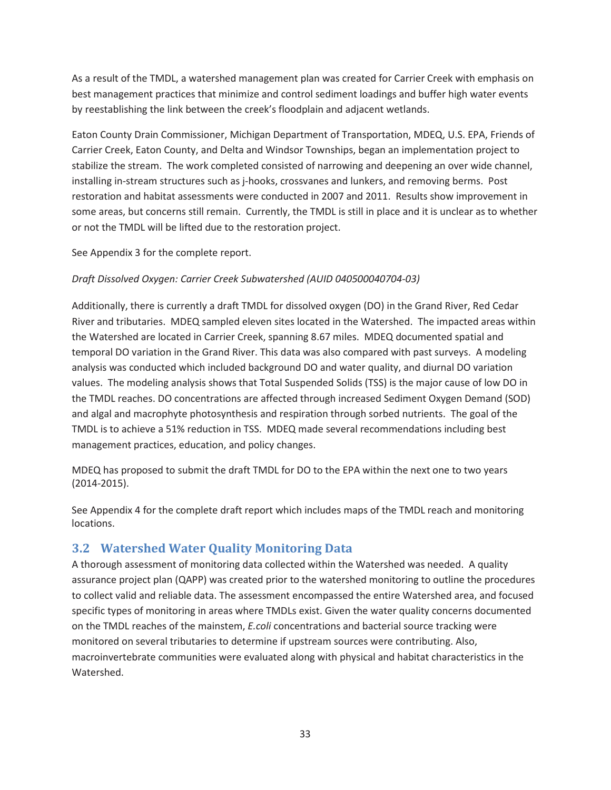As a result of the TMDL, a watershed management plan was created for Carrier Creek with emphasis on best management practices that minimize and control sediment loadings and buffer high water events by reestablishing the link between the creek's floodplain and adjacent wetlands.

Eaton County Drain Commissioner, Michigan Department of Transportation, MDEQ, U.S. EPA, Friends of Carrier Creek, Eaton County, and Delta and Windsor Townships, began an implementation project to stabilize the stream. The work completed consisted of narrowing and deepening an over wide channel, installing in-stream structures such as j-hooks, crossvanes and lunkers, and removing berms. Post restoration and habitat assessments were conducted in 2007 and 2011. Results show improvement in some areas, but concerns still remain. Currently, the TMDL is still in place and it is unclear as to whether or not the TMDL will be lifted due to the restoration project.

See Appendix 3 for the complete report.

#### *Draft Dissolved Oxygen: Carrier Creek Subwatershed (AUID 040500040704-03)*

Additionally, there is currently a draft TMDL for dissolved oxygen (DO) in the Grand River, Red Cedar River and tributaries. MDEQ sampled eleven sites located in the Watershed. The impacted areas within the Watershed are located in Carrier Creek, spanning 8.67 miles. MDEQ documented spatial and temporal DO variation in the Grand River. This data was also compared with past surveys. A modeling analysis was conducted which included background DO and water quality, and diurnal DO variation values. The modeling analysis shows that Total Suspended Solids (TSS) is the major cause of low DO in the TMDL reaches. DO concentrations are affected through increased Sediment Oxygen Demand (SOD) and algal and macrophyte photosynthesis and respiration through sorbed nutrients. The goal of the TMDL is to achieve a 51% reduction in TSS. MDEQ made several recommendations including best management practices, education, and policy changes.

MDEQ has proposed to submit the draft TMDL for DO to the EPA within the next one to two years (2014-2015).

See Appendix 4 for the complete draft report which includes maps of the TMDL reach and monitoring locations.

## **3.2 Watershed Water Quality Monitoring Data**

A thorough assessment of monitoring data collected within the Watershed was needed. A quality assurance project plan (QAPP) was created prior to the watershed monitoring to outline the procedures to collect valid and reliable data. The assessment encompassed the entire Watershed area, and focused specific types of monitoring in areas where TMDLs exist. Given the water quality concerns documented on the TMDL reaches of the mainstem, *E.coli* concentrations and bacterial source tracking were monitored on several tributaries to determine if upstream sources were contributing. Also, macroinvertebrate communities were evaluated along with physical and habitat characteristics in the Watershed.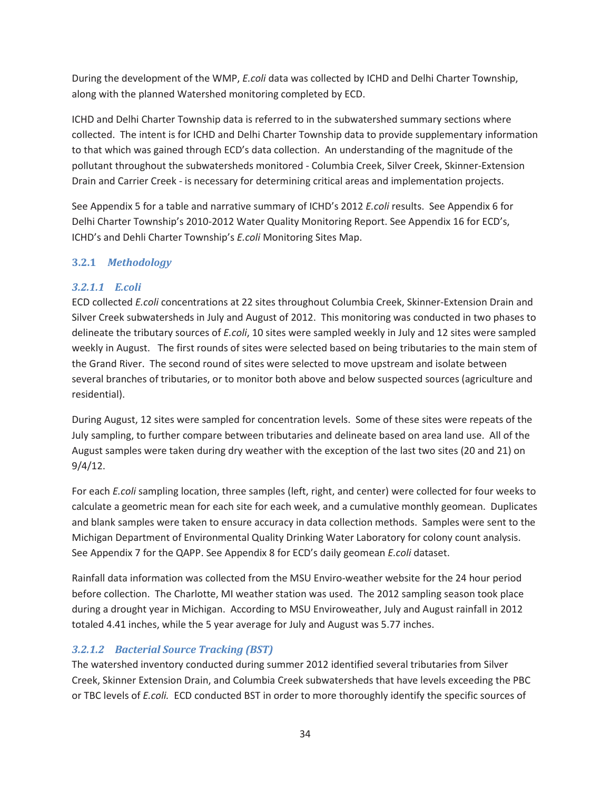During the development of the WMP, *E.coli* data was collected by ICHD and Delhi Charter Township, along with the planned Watershed monitoring completed by ECD.

ICHD and Delhi Charter Township data is referred to in the subwatershed summary sections where collected. The intent is for ICHD and Delhi Charter Township data to provide supplementary information to that which was gained through ECD's data collection. An understanding of the magnitude of the pollutant throughout the subwatersheds monitored - Columbia Creek, Silver Creek, Skinner-Extension Drain and Carrier Creek - is necessary for determining critical areas and implementation projects.

See Appendix 5 for a table and narrative summary of ICHD's 2012 *E.coli* results. See Appendix 6 for Delhi Charter Township's 2010-2012 Water Quality Monitoring Report. See Appendix 16 for ECD's, ICHD's and Dehli Charter Township's *E.coli* Monitoring Sites Map.

## **3.2.1** *Methodology*

## *3.2.1.1 E.coli*

ECD collected *E.coli* concentrations at 22 sites throughout Columbia Creek, Skinner-Extension Drain and Silver Creek subwatersheds in July and August of 2012. This monitoring was conducted in two phases to delineate the tributary sources of *E.coli*, 10 sites were sampled weekly in July and 12 sites were sampled weekly in August. The first rounds of sites were selected based on being tributaries to the main stem of the Grand River. The second round of sites were selected to move upstream and isolate between several branches of tributaries, or to monitor both above and below suspected sources (agriculture and residential).

During August, 12 sites were sampled for concentration levels. Some of these sites were repeats of the July sampling, to further compare between tributaries and delineate based on area land use. All of the August samples were taken during dry weather with the exception of the last two sites (20 and 21) on 9/4/12.

For each *E.coli* sampling location, three samples (left, right, and center) were collected for four weeks to calculate a geometric mean for each site for each week, and a cumulative monthly geomean. Duplicates and blank samples were taken to ensure accuracy in data collection methods. Samples were sent to the Michigan Department of Environmental Quality Drinking Water Laboratory for colony count analysis. See Appendix 7 for the QAPP. See Appendix 8 for ECD's daily geomean *E.coli* dataset.

Rainfall data information was collected from the MSU Enviro-weather website for the 24 hour period before collection. The Charlotte, MI weather station was used. The 2012 sampling season took place during a drought year in Michigan. According to MSU Enviroweather, July and August rainfall in 2012 totaled 4.41 inches, while the 5 year average for July and August was 5.77 inches.

## *3.2.1.2 Bacterial Source Tracking (BST)*

The watershed inventory conducted during summer 2012 identified several tributaries from Silver Creek, Skinner Extension Drain, and Columbia Creek subwatersheds that have levels exceeding the PBC or TBC levels of *E.coli.* ECD conducted BST in order to more thoroughly identify the specific sources of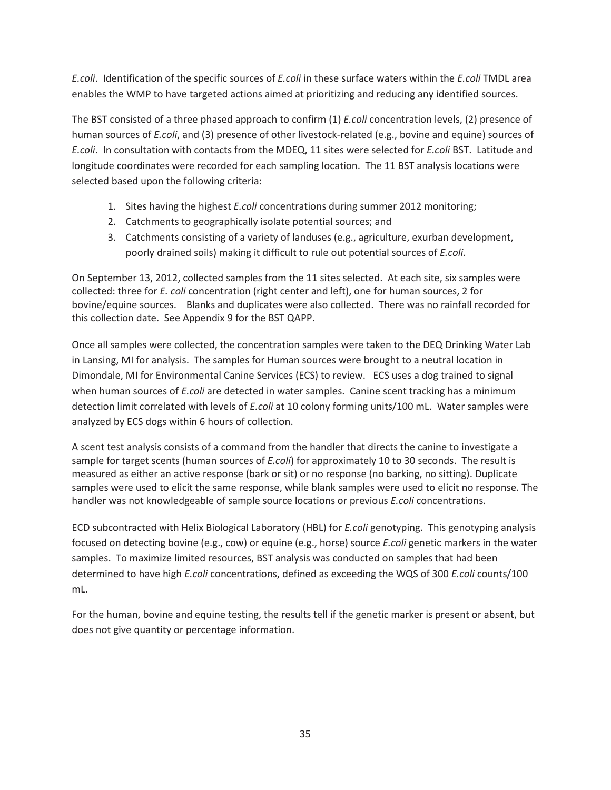*E.coli*. Identification of the specific sources of *E.coli* in these surface waters within the *E.coli* TMDL area enables the WMP to have targeted actions aimed at prioritizing and reducing any identified sources.

The BST consisted of a three phased approach to confirm (1) *E.coli* concentration levels, (2) presence of human sources of *E.coli*, and (3) presence of other livestock-related (e.g., bovine and equine) sources of *E.coli*. In consultation with contacts from the MDEQ, 11 sites were selected for *E.coli* BST. Latitude and longitude coordinates were recorded for each sampling location. The 11 BST analysis locations were selected based upon the following criteria:

- 1. Sites having the highest *E.coli* concentrations during summer 2012 monitoring;
- 2. Catchments to geographically isolate potential sources; and
- 3. Catchments consisting of a variety of landuses (e.g., agriculture, exurban development, poorly drained soils) making it difficult to rule out potential sources of *E.coli*.

On September 13, 2012, collected samples from the 11 sites selected. At each site, six samples were collected: three for *E. coli* concentration (right center and left), one for human sources, 2 for bovine/equine sources. Blanks and duplicates were also collected. There was no rainfall recorded for this collection date. See Appendix 9 for the BST QAPP.

Once all samples were collected, the concentration samples were taken to the DEQ Drinking Water Lab in Lansing, MI for analysis. The samples for Human sources were brought to a neutral location in Dimondale, MI for Environmental Canine Services (ECS) to review. ECS uses a dog trained to signal when human sources of *E.coli* are detected in water samples. Canine scent tracking has a minimum detection limit correlated with levels of *E.coli* at 10 colony forming units/100 mL. Water samples were analyzed by ECS dogs within 6 hours of collection.

A scent test analysis consists of a command from the handler that directs the canine to investigate a sample for target scents (human sources of *E.coli*) for approximately 10 to 30 seconds. The result is measured as either an active response (bark or sit) or no response (no barking, no sitting). Duplicate samples were used to elicit the same response, while blank samples were used to elicit no response. The handler was not knowledgeable of sample source locations or previous *E.coli* concentrations.

ECD subcontracted with Helix Biological Laboratory (HBL) for *E.coli* genotyping. This genotyping analysis focused on detecting bovine (e.g., cow) or equine (e.g., horse) source *E.coli* genetic markers in the water samples. To maximize limited resources, BST analysis was conducted on samples that had been determined to have high *E.coli* concentrations, defined as exceeding the WQS of 300 *E.coli* counts/100 mL.

For the human, bovine and equine testing, the results tell if the genetic marker is present or absent, but does not give quantity or percentage information.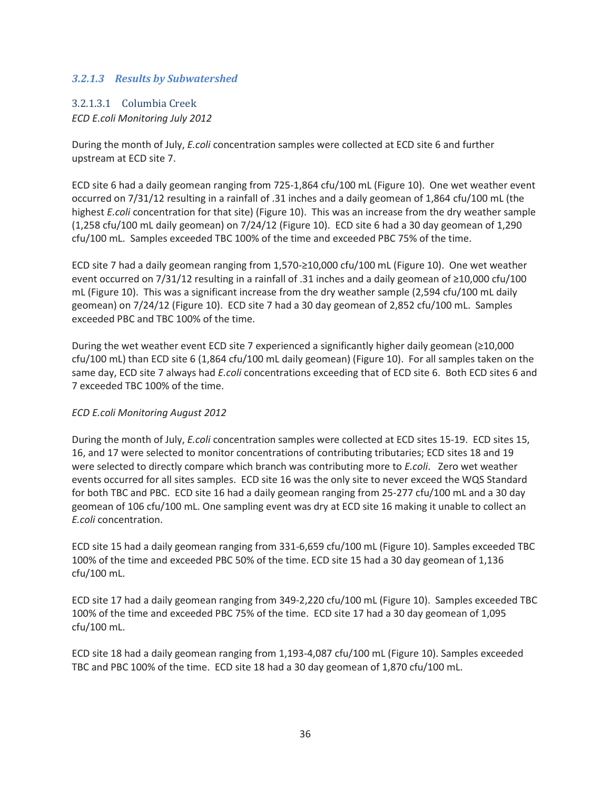#### *3.2.1.3 Results by Subwatershed*

#### 3.2.1.3.1 Columbia Creek

*ECD E.coli Monitoring July 2012* 

During the month of July, *E.coli* concentration samples were collected at ECD site 6 and further upstream at ECD site 7.

ECD site 6 had a daily geomean ranging from 725-1,864 cfu/100 mL (Figure 10). One wet weather event occurred on 7/31/12 resulting in a rainfall of .31 inches and a daily geomean of 1,864 cfu/100 mL (the highest *E.coli* concentration for that site) (Figure 10). This was an increase from the dry weather sample (1,258 cfu/100 mL daily geomean) on 7/24/12 (Figure 10). ECD site 6 had a 30 day geomean of 1,290 cfu/100 mL. Samples exceeded TBC 100% of the time and exceeded PBC 75% of the time.

ECD site 7 had a daily geomean ranging from  $1,570-210,000$  cfu/100 mL (Figure 10). One wet weather event occurred on 7/31/12 resulting in a rainfall of .31 inches and a daily geomean of  $\geq$ 10,000 cfu/100 mL (Figure 10). This was a significant increase from the dry weather sample (2,594 cfu/100 mL daily geomean) on 7/24/12 (Figure 10). ECD site 7 had a 30 day geomean of 2,852 cfu/100 mL. Samples exceeded PBC and TBC 100% of the time.

During the wet weather event ECD site 7 experienced a significantly higher daily geomean ( $\geq$ 10,000 cfu/100 mL) than ECD site 6 (1,864 cfu/100 mL daily geomean) (Figure 10). For all samples taken on the same day, ECD site 7 always had *E.coli* concentrations exceeding that of ECD site 6. Both ECD sites 6 and 7 exceeded TBC 100% of the time.

#### *ECD E.coli Monitoring August 2012*

During the month of July, *E.coli* concentration samples were collected at ECD sites 15-19. ECD sites 15, 16, and 17 were selected to monitor concentrations of contributing tributaries; ECD sites 18 and 19 were selected to directly compare which branch was contributing more to *E.coli*. Zero wet weather events occurred for all sites samples. ECD site 16 was the only site to never exceed the WQS Standard for both TBC and PBC. ECD site 16 had a daily geomean ranging from 25-277 cfu/100 mL and a 30 day geomean of 106 cfu/100 mL. One sampling event was dry at ECD site 16 making it unable to collect an *E.coli* concentration.

ECD site 15 had a daily geomean ranging from 331-6,659 cfu/100 mL (Figure 10). Samples exceeded TBC 100% of the time and exceeded PBC 50% of the time. ECD site 15 had a 30 day geomean of 1,136 cfu/100 mL.

ECD site 17 had a daily geomean ranging from 349-2,220 cfu/100 mL (Figure 10). Samples exceeded TBC 100% of the time and exceeded PBC 75% of the time. ECD site 17 had a 30 day geomean of 1,095 cfu/100 mL.

ECD site 18 had a daily geomean ranging from 1,193-4,087 cfu/100 mL (Figure 10). Samples exceeded TBC and PBC 100% of the time. ECD site 18 had a 30 day geomean of 1,870 cfu/100 mL.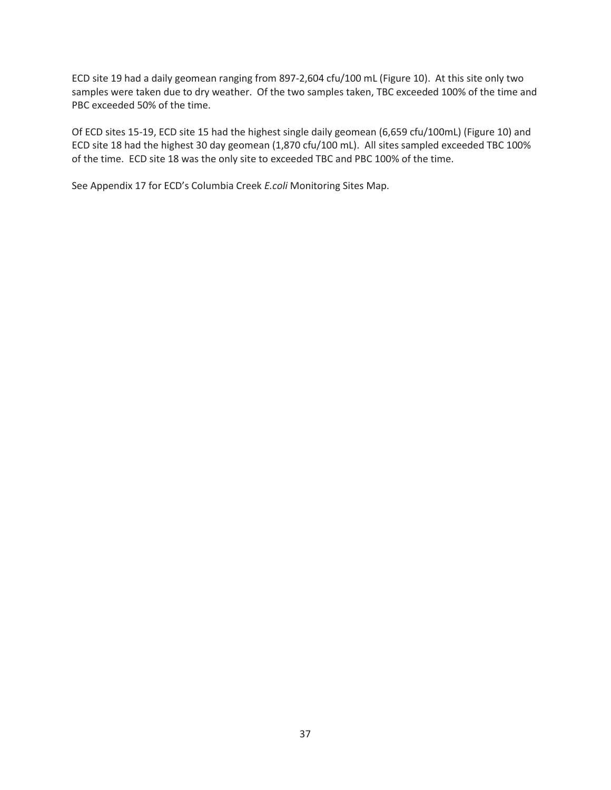ECD site 19 had a daily geomean ranging from 897-2,604 cfu/100 mL (Figure 10). At this site only two samples were taken due to dry weather. Of the two samples taken, TBC exceeded 100% of the time and PBC exceeded 50% of the time.

Of ECD sites 15-19, ECD site 15 had the highest single daily geomean (6,659 cfu/100mL) (Figure 10) and ECD site 18 had the highest 30 day geomean (1,870 cfu/100 mL). All sites sampled exceeded TBC 100% of the time. ECD site 18 was the only site to exceeded TBC and PBC 100% of the time.

See Appendix 17 for ECD's Columbia Creek *E.coli* Monitoring Sites Map.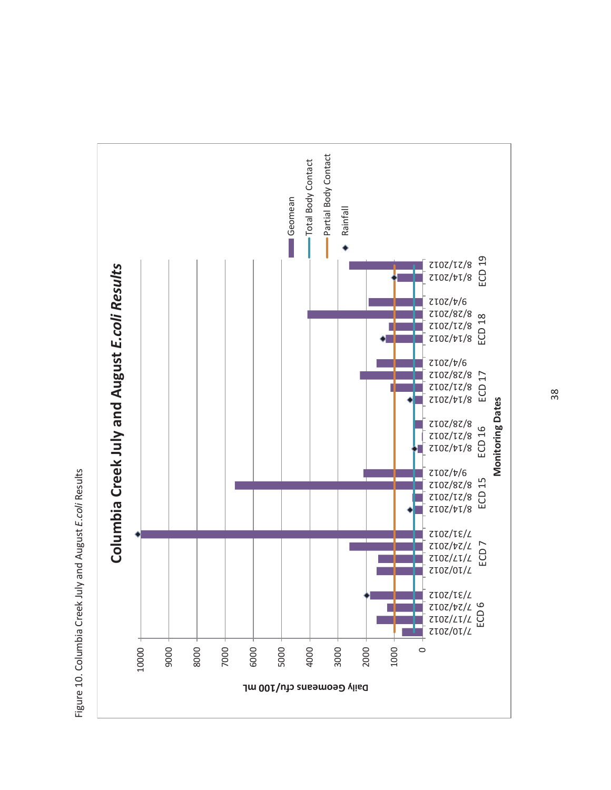



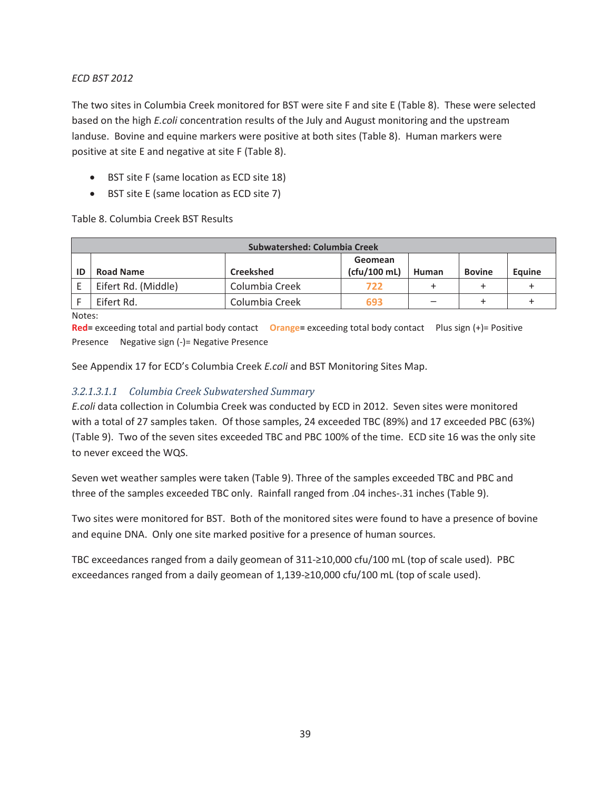#### *ECD BST 2012*

The two sites in Columbia Creek monitored for BST were site F and site E (Table 8). These were selected based on the high *E.coli* concentration results of the July and August monitoring and the upstream landuse. Bovine and equine markers were positive at both sites (Table 8). Human markers were positive at site E and negative at site F (Table 8).

- BST site F (same location as ECD site 18)
- BST site E (same location as ECD site 7)

Table 8. Columbia Creek BST Results

| Subwatershed: Columbia Creek |                  |                         |       |               |        |  |  |  |
|------------------------------|------------------|-------------------------|-------|---------------|--------|--|--|--|
| <b>Road Name</b>             | <b>Creekshed</b> | Geomean<br>(cfu/100 mL) | Human | <b>Bovine</b> | Equine |  |  |  |
| Eifert Rd. (Middle)          | Columbia Creek   | 722                     | ÷     |               |        |  |  |  |
| Eifert Rd.                   | Columbia Creek   | 693                     |       |               |        |  |  |  |

#### Notes:

**Red=** exceeding total and partial body contact **Orange=** exceeding total body contact Plus sign (+)= Positive Presence Negative sign (-)= Negative Presence

See Appendix 17 for ECD's Columbia Creek *E.coli* and BST Monitoring Sites Map.

### *3.2.1.3.1.1 Columbia Creek Subwatershed Summary*

*E.coli* data collection in Columbia Creek was conducted by ECD in 2012. Seven sites were monitored with a total of 27 samples taken. Of those samples, 24 exceeded TBC (89%) and 17 exceeded PBC (63%) (Table 9). Two of the seven sites exceeded TBC and PBC 100% of the time. ECD site 16 was the only site to never exceed the WQS.

Seven wet weather samples were taken (Table 9). Three of the samples exceeded TBC and PBC and three of the samples exceeded TBC only. Rainfall ranged from .04 inches-.31 inches (Table 9).

Two sites were monitored for BST. Both of the monitored sites were found to have a presence of bovine and equine DNA. Only one site marked positive for a presence of human sources.

TBC exceedances ranged from a daily geomean of 311-≥10,000 cfu/100 mL (top of scale used). PBC exceedances ranged from a daily geomean of  $1,139$ - $\geq$ 10,000 cfu/100 mL (top of scale used).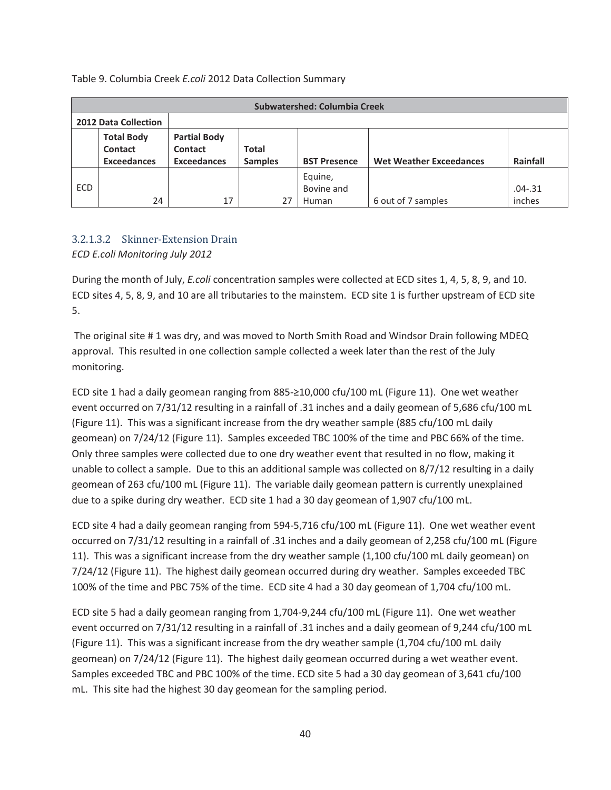Table 9. Columbia Creek *E.coli* 2012 Data Collection Summary

|     | Subwatershed: Columbia Creek                       |                                                      |                                |                                |                                |                       |  |  |
|-----|----------------------------------------------------|------------------------------------------------------|--------------------------------|--------------------------------|--------------------------------|-----------------------|--|--|
|     | <b>2012 Data Collection</b>                        |                                                      |                                |                                |                                |                       |  |  |
|     | <b>Total Body</b><br>Contact<br><b>Exceedances</b> | <b>Partial Body</b><br>Contact<br><b>Exceedances</b> | <b>Total</b><br><b>Samples</b> | <b>BST Presence</b>            | <b>Wet Weather Exceedances</b> | Rainfall              |  |  |
| ECD | 24                                                 | 17                                                   | 27                             | Equine,<br>Bovine and<br>Human | 6 out of 7 samples             | $.04 - .31$<br>inches |  |  |

### 3.2.1.3.2 Skinner-Extension Drain

*ECD E.coli Monitoring July 2012* 

During the month of July, *E.coli* concentration samples were collected at ECD sites 1, 4, 5, 8, 9, and 10. ECD sites 4, 5, 8, 9, and 10 are all tributaries to the mainstem. ECD site 1 is further upstream of ECD site 5.

 The original site # 1 was dry, and was moved to North Smith Road and Windsor Drain following MDEQ approval. This resulted in one collection sample collected a week later than the rest of the July monitoring.

ECD site 1 had a daily geomean ranging from 885-210,000 cfu/100 mL (Figure 11). One wet weather event occurred on 7/31/12 resulting in a rainfall of .31 inches and a daily geomean of 5,686 cfu/100 mL (Figure 11). This was a significant increase from the dry weather sample (885 cfu/100 mL daily geomean) on 7/24/12 (Figure 11). Samples exceeded TBC 100% of the time and PBC 66% of the time. Only three samples were collected due to one dry weather event that resulted in no flow, making it unable to collect a sample. Due to this an additional sample was collected on 8/7/12 resulting in a daily geomean of 263 cfu/100 mL (Figure 11). The variable daily geomean pattern is currently unexplained due to a spike during dry weather. ECD site 1 had a 30 day geomean of 1,907 cfu/100 mL.

ECD site 4 had a daily geomean ranging from 594-5,716 cfu/100 mL (Figure 11). One wet weather event occurred on 7/31/12 resulting in a rainfall of .31 inches and a daily geomean of 2,258 cfu/100 mL (Figure 11). This was a significant increase from the dry weather sample (1,100 cfu/100 mL daily geomean) on 7/24/12 (Figure 11). The highest daily geomean occurred during dry weather. Samples exceeded TBC 100% of the time and PBC 75% of the time. ECD site 4 had a 30 day geomean of 1,704 cfu/100 mL.

ECD site 5 had a daily geomean ranging from 1,704-9,244 cfu/100 mL (Figure 11). One wet weather event occurred on 7/31/12 resulting in a rainfall of .31 inches and a daily geomean of 9,244 cfu/100 mL (Figure 11). This was a significant increase from the dry weather sample (1,704 cfu/100 mL daily geomean) on 7/24/12 (Figure 11). The highest daily geomean occurred during a wet weather event. Samples exceeded TBC and PBC 100% of the time. ECD site 5 had a 30 day geomean of 3,641 cfu/100 mL. This site had the highest 30 day geomean for the sampling period.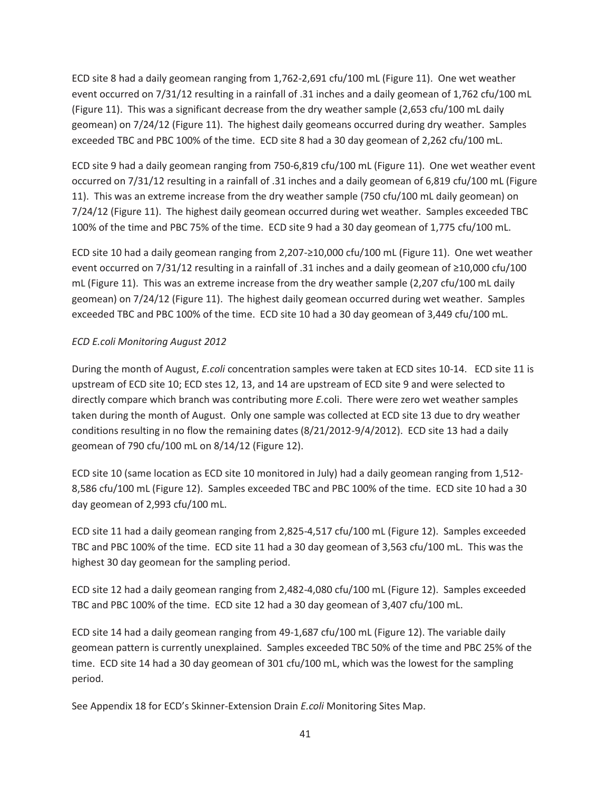ECD site 8 had a daily geomean ranging from 1,762-2,691 cfu/100 mL (Figure 11). One wet weather event occurred on 7/31/12 resulting in a rainfall of .31 inches and a daily geomean of 1,762 cfu/100 mL (Figure 11). This was a significant decrease from the dry weather sample (2,653 cfu/100 mL daily geomean) on 7/24/12 (Figure 11). The highest daily geomeans occurred during dry weather. Samples exceeded TBC and PBC 100% of the time. ECD site 8 had a 30 day geomean of 2,262 cfu/100 mL.

ECD site 9 had a daily geomean ranging from 750-6,819 cfu/100 mL (Figure 11). One wet weather event occurred on 7/31/12 resulting in a rainfall of .31 inches and a daily geomean of 6,819 cfu/100 mL (Figure 11). This was an extreme increase from the dry weather sample (750 cfu/100 mL daily geomean) on 7/24/12 (Figure 11). The highest daily geomean occurred during wet weather. Samples exceeded TBC 100% of the time and PBC 75% of the time. ECD site 9 had a 30 day geomean of 1,775 cfu/100 mL.

ECD site 10 had a daily geomean ranging from 2,207- $\geq$ 10,000 cfu/100 mL (Figure 11). One wet weather event occurred on 7/31/12 resulting in a rainfall of .31 inches and a daily geomean of  $\geq$ 10,000 cfu/100 mL (Figure 11). This was an extreme increase from the dry weather sample (2,207 cfu/100 mL daily geomean) on 7/24/12 (Figure 11). The highest daily geomean occurred during wet weather. Samples exceeded TBC and PBC 100% of the time. ECD site 10 had a 30 day geomean of 3,449 cfu/100 mL.

#### *ECD E.coli Monitoring August 2012*

During the month of August, *E.coli* concentration samples were taken at ECD sites 10-14. ECD site 11 is upstream of ECD site 10; ECD stes 12, 13, and 14 are upstream of ECD site 9 and were selected to directly compare which branch was contributing more *E.*coli. There were zero wet weather samples taken during the month of August. Only one sample was collected at ECD site 13 due to dry weather conditions resulting in no flow the remaining dates (8/21/2012-9/4/2012). ECD site 13 had a daily geomean of 790 cfu/100 mL on 8/14/12 (Figure 12).

ECD site 10 (same location as ECD site 10 monitored in July) had a daily geomean ranging from 1,512- 8,586 cfu/100 mL (Figure 12). Samples exceeded TBC and PBC 100% of the time. ECD site 10 had a 30 day geomean of 2,993 cfu/100 mL.

ECD site 11 had a daily geomean ranging from 2,825-4,517 cfu/100 mL (Figure 12). Samples exceeded TBC and PBC 100% of the time. ECD site 11 had a 30 day geomean of 3,563 cfu/100 mL. This was the highest 30 day geomean for the sampling period.

ECD site 12 had a daily geomean ranging from 2,482-4,080 cfu/100 mL (Figure 12). Samples exceeded TBC and PBC 100% of the time. ECD site 12 had a 30 day geomean of 3,407 cfu/100 mL.

ECD site 14 had a daily geomean ranging from 49-1,687 cfu/100 mL (Figure 12). The variable daily geomean pattern is currently unexplained. Samples exceeded TBC 50% of the time and PBC 25% of the time. ECD site 14 had a 30 day geomean of 301 cfu/100 mL, which was the lowest for the sampling period.

See Appendix 18 for ECD's Skinner-Extension Drain *E.coli* Monitoring Sites Map.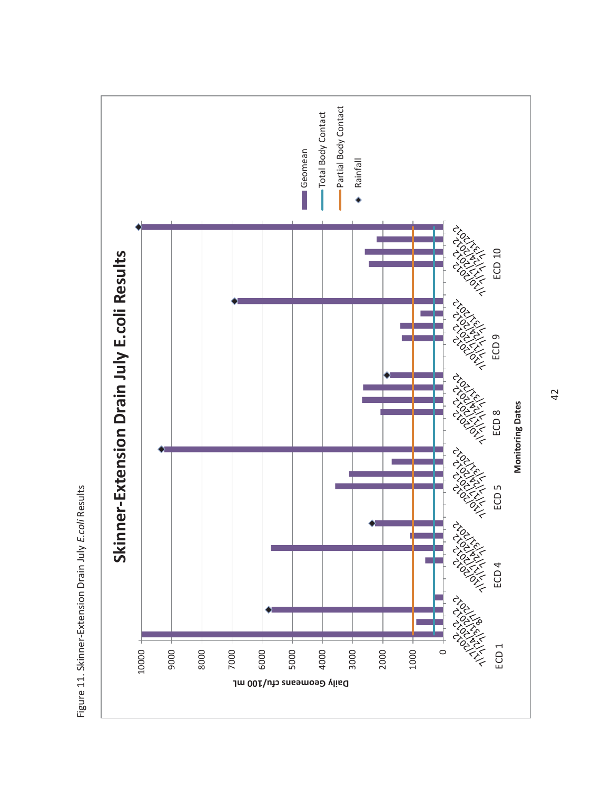

Figure 11. Skinner-Extension Drain July E.coli Results Figure 11. Skinner-Extension Drain July *E.coli* Results

42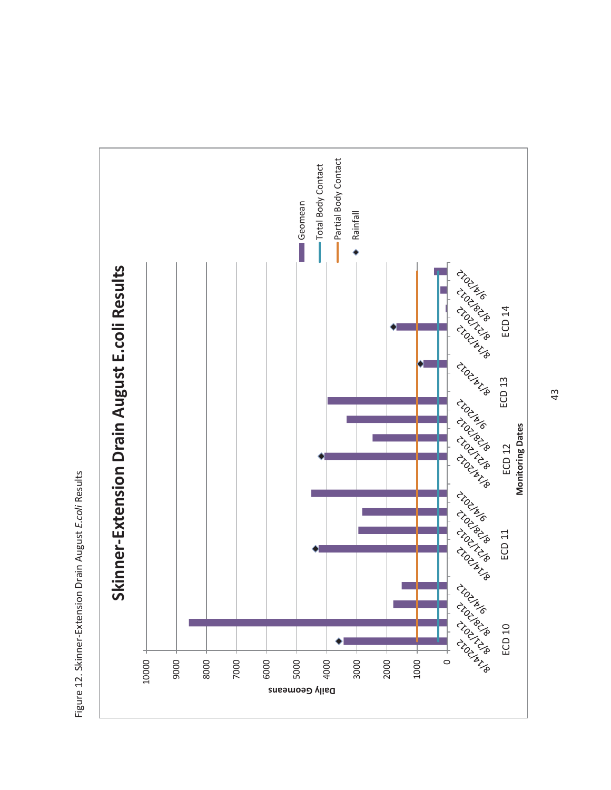

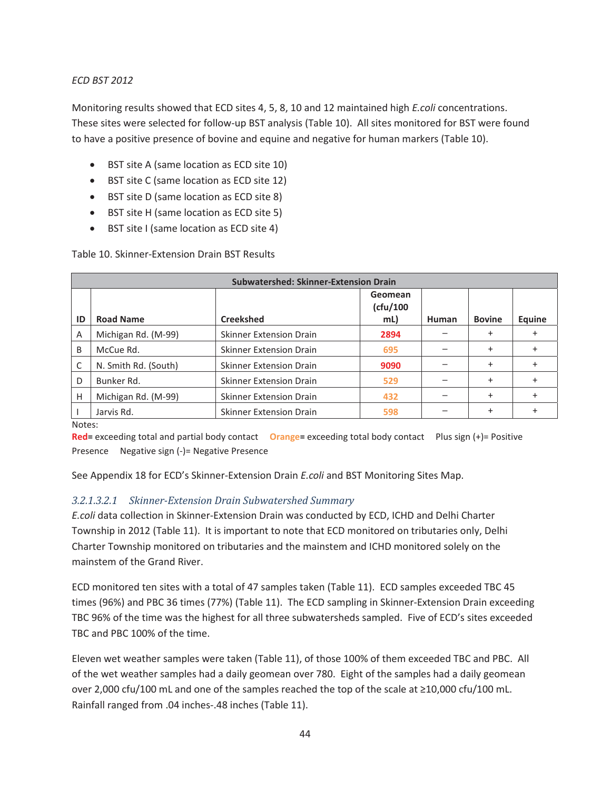#### *ECD BST 2012*

Monitoring results showed that ECD sites 4, 5, 8, 10 and 12 maintained high *E.coli* concentrations. These sites were selected for follow-up BST analysis (Table 10). All sites monitored for BST were found to have a positive presence of bovine and equine and negative for human markers (Table 10).

- BST site A (same location as ECD site 10)
- BST site C (same location as ECD site 12)
- BST site D (same location as ECD site 8)
- $\bullet$  BST site H (same location as ECD site 5)
- $\bullet$  BST site I (same location as ECD site 4)

Table 10. Skinner-Extension Drain BST Results

|    | <b>Subwatershed: Skinner-Extension Drain</b> |                                |                            |       |               |           |  |  |  |
|----|----------------------------------------------|--------------------------------|----------------------------|-------|---------------|-----------|--|--|--|
| ID | <b>Road Name</b>                             | <b>Creekshed</b>               | Geomean<br>(ctu/100<br>mL) | Human | <b>Bovine</b> | Equine    |  |  |  |
| A  | Michigan Rd. (M-99)                          | <b>Skinner Extension Drain</b> | 2894                       |       | $\ddot{}$     |           |  |  |  |
| B  | McCue Rd.                                    | <b>Skinner Extension Drain</b> | 695                        |       | $\ddot{}$     |           |  |  |  |
|    | N. Smith Rd. (South)                         | <b>Skinner Extension Drain</b> | 9090                       |       | $\ddot{}$     |           |  |  |  |
| D  | Bunker Rd.                                   | Skinner Extension Drain        | 529                        |       | $\ddot{}$     |           |  |  |  |
| H  | Michigan Rd. (M-99)                          | <b>Skinner Extension Drain</b> | 432                        |       | $+$           | $\ddot{}$ |  |  |  |
|    | Jarvis Rd.                                   | <b>Skinner Extension Drain</b> | 598                        |       | $\ddot{}$     |           |  |  |  |

Notes:

**Red=** exceeding total and partial body contact **Orange=** exceeding total body contact Plus sign (+)= Positive Presence Negative sign (-)= Negative Presence

See Appendix 18 for ECD's Skinner-Extension Drain *E.coli* and BST Monitoring Sites Map.

#### *3.2.1.3.2.1 Skinner-Extension Drain Subwatershed Summary*

*E.coli* data collection in Skinner-Extension Drain was conducted by ECD, ICHD and Delhi Charter Township in 2012 (Table 11). It is important to note that ECD monitored on tributaries only, Delhi Charter Township monitored on tributaries and the mainstem and ICHD monitored solely on the mainstem of the Grand River.

ECD monitored ten sites with a total of 47 samples taken (Table 11). ECD samples exceeded TBC 45 times (96%) and PBC 36 times (77%) (Table 11). The ECD sampling in Skinner-Extension Drain exceeding TBC 96% of the time was the highest for all three subwatersheds sampled. Five of ECD's sites exceeded TBC and PBC 100% of the time.

Eleven wet weather samples were taken (Table 11), of those 100% of them exceeded TBC and PBC. All of the wet weather samples had a daily geomean over 780. Eight of the samples had a daily geomean over 2,000 cfu/100 mL and one of the samples reached the top of the scale at  $\geq$ 10,000 cfu/100 mL. Rainfall ranged from .04 inches-.48 inches (Table 11).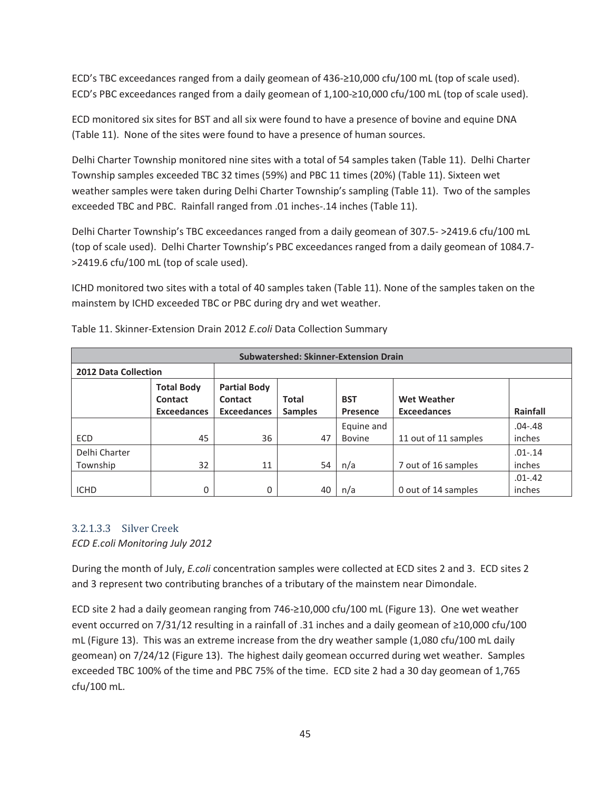ECD's TBC exceedances ranged from a daily geomean of  $436-\geq 10,000$  cfu/100 mL (top of scale used). ECD's PBC exceedances ranged from a daily geomean of  $1,100-210,000$  cfu/100 mL (top of scale used).

ECD monitored six sites for BST and all six were found to have a presence of bovine and equine DNA (Table 11). None of the sites were found to have a presence of human sources.

Delhi Charter Township monitored nine sites with a total of 54 samples taken (Table 11). Delhi Charter Township samples exceeded TBC 32 times (59%) and PBC 11 times (20%) (Table 11). Sixteen wet weather samples were taken during Delhi Charter Township's sampling (Table 11). Two of the samples exceeded TBC and PBC. Rainfall ranged from .01 inches-.14 inches (Table 11).

Delhi Charter Township's TBC exceedances ranged from a daily geomean of 307.5- >2419.6 cfu/100 mL (top of scale used). Delhi Charter Township's PBC exceedances ranged from a daily geomean of 1084.7- >2419.6 cfu/100 mL (top of scale used).

ICHD monitored two sites with a total of 40 samples taken (Table 11). None of the samples taken on the mainstem by ICHD exceeded TBC or PBC during dry and wet weather.

| <b>Subwatershed: Skinner-Extension Drain</b> |                                                           |                                                      |                         |                        |                                          |             |
|----------------------------------------------|-----------------------------------------------------------|------------------------------------------------------|-------------------------|------------------------|------------------------------------------|-------------|
| 2012 Data Collection                         |                                                           |                                                      |                         |                        |                                          |             |
|                                              | <b>Total Body</b><br><b>Contact</b><br><b>Exceedances</b> | <b>Partial Body</b><br>Contact<br><b>Exceedances</b> | Total<br><b>Samples</b> | <b>BST</b><br>Presence | <b>Wet Weather</b><br><b>Exceedances</b> | Rainfall    |
|                                              |                                                           |                                                      |                         | Equine and             |                                          | $.04 - .48$ |
| ECD                                          | 45                                                        | 36                                                   | 47                      | <b>Bovine</b>          | 11 out of 11 samples                     | inches      |
| Delhi Charter                                |                                                           |                                                      |                         |                        |                                          | $.01 - .14$ |
| Township                                     | 32                                                        | 11                                                   | 54                      | n/a                    | 7 out of 16 samples                      | inches      |
|                                              |                                                           |                                                      |                         |                        |                                          | $.01 - .42$ |
| <b>ICHD</b>                                  | 0                                                         | 0                                                    | 40                      | n/a                    | 0 out of 14 samples                      | inches      |

Table 11. Skinner-Extension Drain 2012 *E.coli* Data Collection Summary

## 3.2.1.3.3 Silver Creek *ECD E.coli Monitoring July 2012*

During the month of July, *E.coli* concentration samples were collected at ECD sites 2 and 3. ECD sites 2 and 3 represent two contributing branches of a tributary of the mainstem near Dimondale.

ECD site 2 had a daily geomean ranging from 746- $\geq$ 10,000 cfu/100 mL (Figure 13). One wet weather event occurred on 7/31/12 resulting in a rainfall of .31 inches and a daily geomean of  $\geq$ 10,000 cfu/100 mL (Figure 13). This was an extreme increase from the dry weather sample (1,080 cfu/100 mL daily geomean) on 7/24/12 (Figure 13). The highest daily geomean occurred during wet weather. Samples exceeded TBC 100% of the time and PBC 75% of the time. ECD site 2 had a 30 day geomean of 1,765 cfu/100 mL.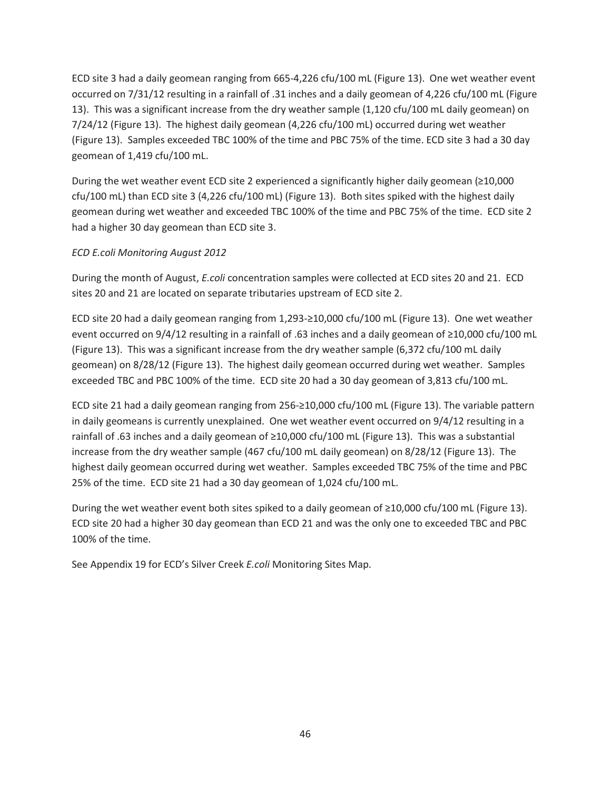ECD site 3 had a daily geomean ranging from 665-4,226 cfu/100 mL (Figure 13). One wet weather event occurred on 7/31/12 resulting in a rainfall of .31 inches and a daily geomean of 4,226 cfu/100 mL (Figure 13). This was a significant increase from the dry weather sample (1,120 cfu/100 mL daily geomean) on 7/24/12 (Figure 13). The highest daily geomean (4,226 cfu/100 mL) occurred during wet weather (Figure 13). Samples exceeded TBC 100% of the time and PBC 75% of the time. ECD site 3 had a 30 day geomean of 1,419 cfu/100 mL.

During the wet weather event ECD site 2 experienced a significantly higher daily geomean ( $\geq$ 10,000 cfu/100 mL) than ECD site 3 (4,226 cfu/100 mL) (Figure 13). Both sites spiked with the highest daily geomean during wet weather and exceeded TBC 100% of the time and PBC 75% of the time. ECD site 2 had a higher 30 day geomean than ECD site 3.

#### *ECD E.coli Monitoring August 2012*

During the month of August, *E.coli* concentration samples were collected at ECD sites 20 and 21. ECD sites 20 and 21 are located on separate tributaries upstream of ECD site 2.

ECD site 20 had a daily geomean ranging from  $1,293-210,000$  cfu/100 mL (Figure 13). One wet weather event occurred on  $9/4/12$  resulting in a rainfall of .63 inches and a daily geomean of  $\geq 10,000$  cfu/100 mL (Figure 13). This was a significant increase from the dry weather sample (6,372 cfu/100 mL daily geomean) on 8/28/12 (Figure 13). The highest daily geomean occurred during wet weather. Samples exceeded TBC and PBC 100% of the time. ECD site 20 had a 30 day geomean of 3,813 cfu/100 mL.

ECD site 21 had a daily geomean ranging from 256- $\geq$ 10,000 cfu/100 mL (Figure 13). The variable pattern in daily geomeans is currently unexplained. One wet weather event occurred on 9/4/12 resulting in a rainfall of .63 inches and a daily geomean of  $\geq$ 10,000 cfu/100 mL (Figure 13). This was a substantial increase from the dry weather sample (467 cfu/100 mL daily geomean) on 8/28/12 (Figure 13). The highest daily geomean occurred during wet weather. Samples exceeded TBC 75% of the time and PBC 25% of the time. ECD site 21 had a 30 day geomean of 1,024 cfu/100 mL.

During the wet weather event both sites spiked to a daily geomean of  $\geq$ 10,000 cfu/100 mL (Figure 13). ECD site 20 had a higher 30 day geomean than ECD 21 and was the only one to exceeded TBC and PBC 100% of the time.

See Appendix 19 for ECD's Silver Creek *E.coli* Monitoring Sites Map.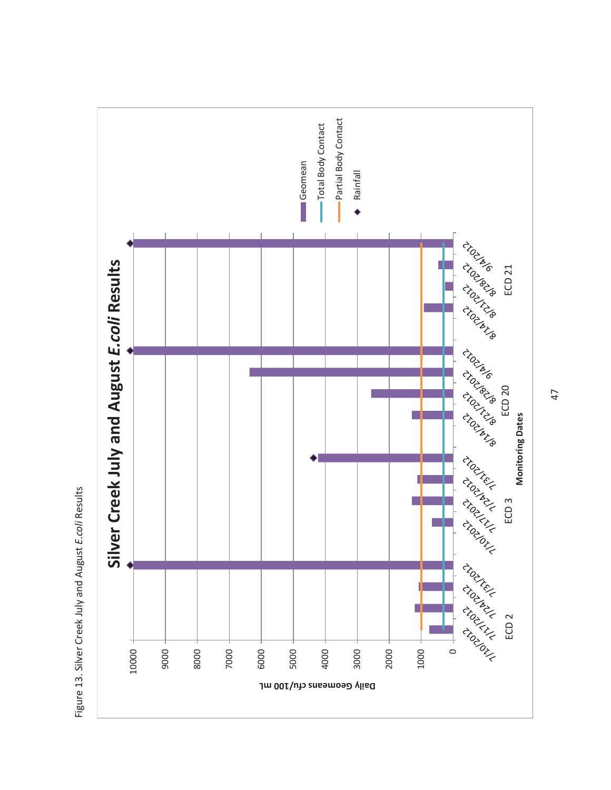

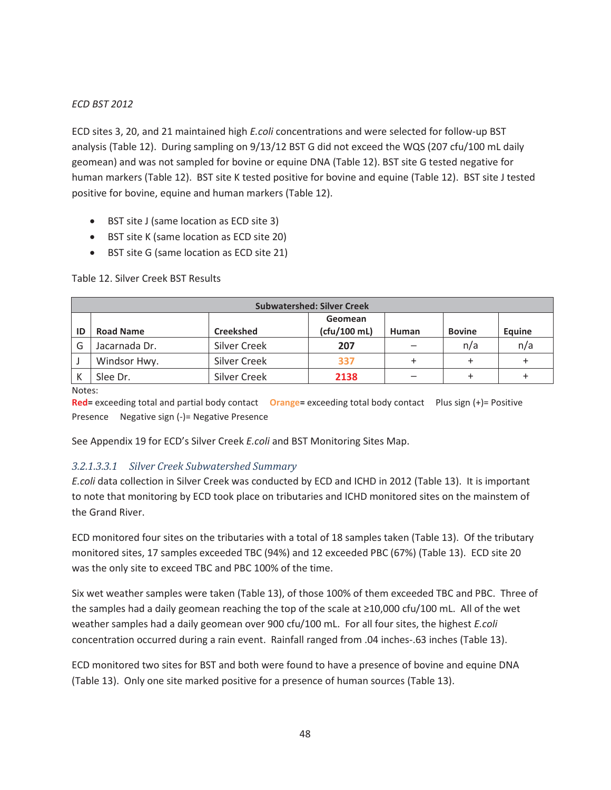### *ECD BST 2012*

ECD sites 3, 20, and 21 maintained high *E.coli* concentrations and were selected for follow-up BST analysis (Table 12). During sampling on 9/13/12 BST G did not exceed the WQS (207 cfu/100 mL daily geomean) and was not sampled for bovine or equine DNA (Table 12). BST site G tested negative for human markers (Table 12). BST site K tested positive for bovine and equine (Table 12). BST site J tested positive for bovine, equine and human markers (Table 12).

- BST site J (same location as ECD site 3)
- BST site K (same location as ECD site 20)
- **BST site G (same location as ECD site 21)**

|    | <b>Subwatershed: Silver Creek</b> |                     |                         |       |               |        |  |  |  |
|----|-----------------------------------|---------------------|-------------------------|-------|---------------|--------|--|--|--|
| ID | <b>Road Name</b>                  | <b>Creekshed</b>    | Geomean<br>(cfu/100 mL) | Human | <b>Bovine</b> | Equine |  |  |  |
| G  | Jacarnada Dr.                     | <b>Silver Creek</b> | 207                     |       | n/a           | n/a    |  |  |  |
|    | Windsor Hwy.                      | <b>Silver Creek</b> | 337                     |       | +             |        |  |  |  |
|    | Slee Dr.                          | <b>Silver Creek</b> | 2138                    |       |               |        |  |  |  |

#### Table 12. Silver Creek BST Results

Notes:

**Red=** exceeding total and partial body contact **Orange=** exceeding total body contact Plus sign (+)= Positive Presence Negative sign (-)= Negative Presence

See Appendix 19 for ECD's Silver Creek *E.coli* and BST Monitoring Sites Map.

#### *3.2.1.3.3.1 Silver Creek Subwatershed Summary*

*E.coli* data collection in Silver Creek was conducted by ECD and ICHD in 2012 (Table 13). It is important to note that monitoring by ECD took place on tributaries and ICHD monitored sites on the mainstem of the Grand River.

ECD monitored four sites on the tributaries with a total of 18 samples taken (Table 13). Of the tributary monitored sites, 17 samples exceeded TBC (94%) and 12 exceeded PBC (67%) (Table 13). ECD site 20 was the only site to exceed TBC and PBC 100% of the time.

Six wet weather samples were taken (Table 13), of those 100% of them exceeded TBC and PBC. Three of the samples had a daily geomean reaching the top of the scale at  $\geq$ 10,000 cfu/100 mL. All of the wet weather samples had a daily geomean over 900 cfu/100 mL. For all four sites, the highest *E.coli* concentration occurred during a rain event. Rainfall ranged from .04 inches-.63 inches (Table 13).

ECD monitored two sites for BST and both were found to have a presence of bovine and equine DNA (Table 13). Only one site marked positive for a presence of human sources (Table 13).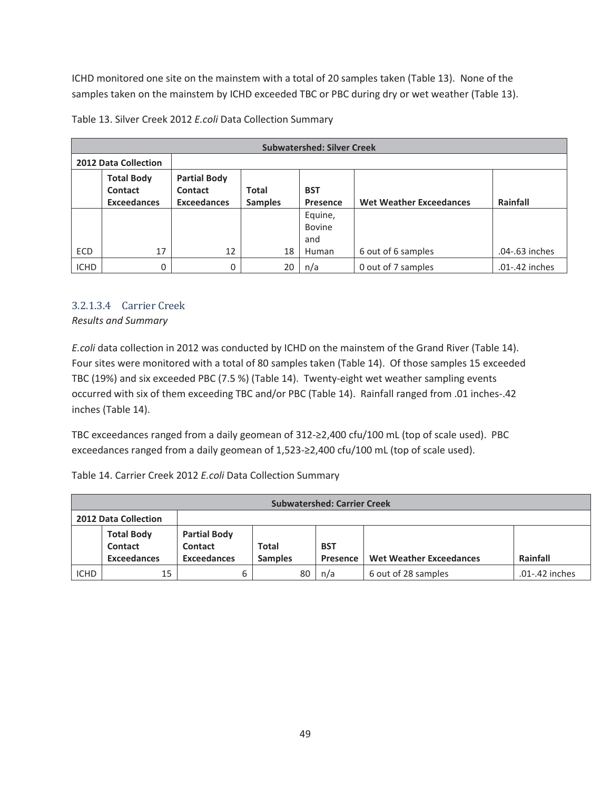ICHD monitored one site on the mainstem with a total of 20 samples taken (Table 13). None of the samples taken on the mainstem by ICHD exceeded TBC or PBC during dry or wet weather (Table 13).

|             | <b>Subwatershed: Silver Creek</b>                  |                                                      |                         |                                 |                                |                |  |
|-------------|----------------------------------------------------|------------------------------------------------------|-------------------------|---------------------------------|--------------------------------|----------------|--|
|             | 2012 Data Collection                               |                                                      |                         |                                 |                                |                |  |
|             | <b>Total Body</b><br>Contact<br><b>Exceedances</b> | <b>Partial Body</b><br>Contact<br><b>Exceedances</b> | Total<br><b>Samples</b> | <b>BST</b><br>Presence          | <b>Wet Weather Exceedances</b> | Rainfall       |  |
|             |                                                    |                                                      |                         | Equine,<br><b>Bovine</b><br>and |                                |                |  |
| <b>ECD</b>  | 17                                                 | 12                                                   | 18                      | Human                           | 6 out of 6 samples             | .04-.63 inches |  |
| <b>ICHD</b> | 0                                                  | 0                                                    | 20                      | n/a                             | 0 out of 7 samples             | .01-.42 inches |  |

Table 13. Silver Creek 2012 *E.coli* Data Collection Summary

## 3.2.1.3.4 Carrier Creek

*Results and Summary* 

*E.coli* data collection in 2012 was conducted by ICHD on the mainstem of the Grand River (Table 14). Four sites were monitored with a total of 80 samples taken (Table 14). Of those samples 15 exceeded TBC (19%) and six exceeded PBC (7.5 %) (Table 14). Twenty-eight wet weather sampling events occurred with six of them exceeding TBC and/or PBC (Table 14). Rainfall ranged from .01 inches-.42 inches (Table 14).

TBC exceedances ranged from a daily geomean of  $312\text{-}2,400$  cfu/100 mL (top of scale used). PBC exceedances ranged from a daily geomean of  $1,523-2,400$  cfu/100 mL (top of scale used).

Table 14. Carrier Creek 2012 *E.coli* Data Collection Summary

|             | <b>Subwatershed: Carrier Creek</b>                        |                                                      |                         |                        |                                |                |  |
|-------------|-----------------------------------------------------------|------------------------------------------------------|-------------------------|------------------------|--------------------------------|----------------|--|
|             | <b>2012 Data Collection</b>                               |                                                      |                         |                        |                                |                |  |
|             | <b>Total Body</b><br><b>Contact</b><br><b>Exceedances</b> | <b>Partial Body</b><br>Contact<br><b>Exceedances</b> | Total<br><b>Samples</b> | <b>BST</b><br>Presence | <b>Wet Weather Exceedances</b> | Rainfall       |  |
| <b>ICHD</b> | 15                                                        | b                                                    | 80                      | n/a                    | 6 out of 28 samples            | .01-.42 inches |  |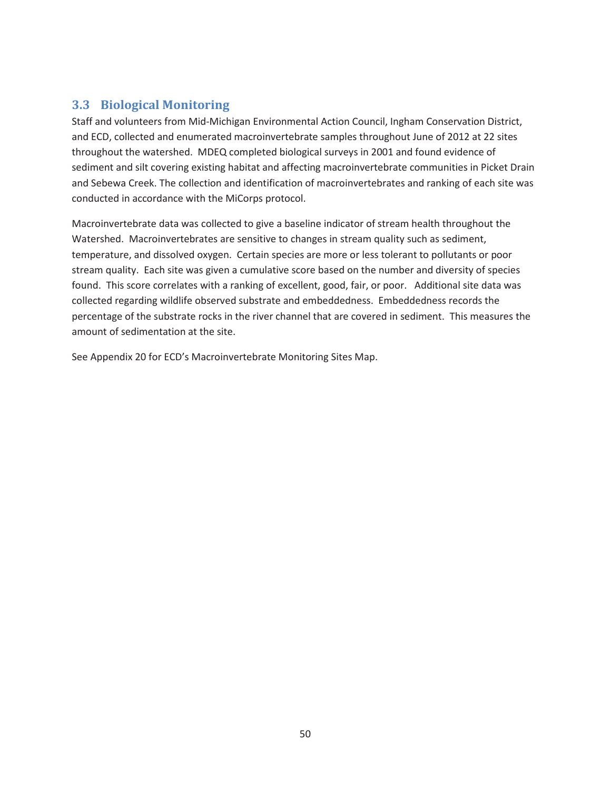## **3.3 Biological Monitoring**

Staff and volunteers from Mid-Michigan Environmental Action Council, Ingham Conservation District, and ECD, collected and enumerated macroinvertebrate samples throughout June of 2012 at 22 sites throughout the watershed. MDEQ completed biological surveys in 2001 and found evidence of sediment and silt covering existing habitat and affecting macroinvertebrate communities in Picket Drain and Sebewa Creek. The collection and identification of macroinvertebrates and ranking of each site was conducted in accordance with the MiCorps protocol.

Macroinvertebrate data was collected to give a baseline indicator of stream health throughout the Watershed. Macroinvertebrates are sensitive to changes in stream quality such as sediment, temperature, and dissolved oxygen. Certain species are more or less tolerant to pollutants or poor stream quality. Each site was given a cumulative score based on the number and diversity of species found. This score correlates with a ranking of excellent, good, fair, or poor. Additional site data was collected regarding wildlife observed substrate and embeddedness. Embeddedness records the percentage of the substrate rocks in the river channel that are covered in sediment. This measures the amount of sedimentation at the site.

See Appendix 20 for ECD's Macroinvertebrate Monitoring Sites Map.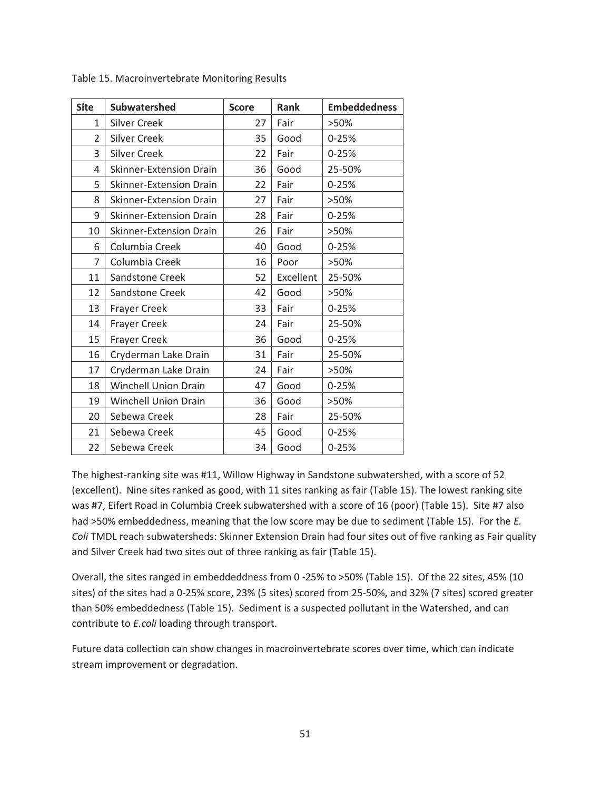| <b>Site</b>    | <b>Subwatershed</b>            | <b>Score</b> | Rank      | <b>Embeddedness</b> |
|----------------|--------------------------------|--------------|-----------|---------------------|
| $\mathbf{1}$   | <b>Silver Creek</b>            | 27           | Fair      | >50%                |
| $\overline{2}$ | <b>Silver Creek</b>            | 35           | Good      | $0 - 25%$           |
| 3              | <b>Silver Creek</b>            | 22           | Fair      | $0 - 25%$           |
| 4              | Skinner-Extension Drain        | 36           | Good      | 25-50%              |
| 5              | <b>Skinner-Extension Drain</b> | 22           | Fair      | $0 - 25%$           |
| 8              | Skinner-Extension Drain        | 27           | Fair      | >50%                |
| 9              | <b>Skinner-Extension Drain</b> | 28           | Fair      | $0 - 25%$           |
| 10             | <b>Skinner-Extension Drain</b> | 26           | Fair      | >50%                |
| 6              | Columbia Creek                 | 40           | Good      | $0 - 25%$           |
| 7              | Columbia Creek                 | 16           | Poor      | >50%                |
| 11             | Sandstone Creek                | 52           | Excellent | 25-50%              |
| 12             | Sandstone Creek                | 42           | Good      | >50%                |
| 13             | Frayer Creek                   | 33           | Fair      | $0 - 25%$           |
| 14             | Frayer Creek                   | 24           | Fair      | 25-50%              |
| 15             | <b>Frayer Creek</b>            | 36           | Good      | $0 - 25%$           |
| 16             | Cryderman Lake Drain           | 31           | Fair      | 25-50%              |
| 17             | Cryderman Lake Drain           | 24           | Fair      | >50%                |
| 18             | <b>Winchell Union Drain</b>    | 47           | Good      | $0 - 25%$           |
| 19             | <b>Winchell Union Drain</b>    | 36           | Good      | >50%                |
| 20             | Sebewa Creek                   | 28           | Fair      | 25-50%              |
| 21             | Sebewa Creek                   | 45           | Good      | $0 - 25%$           |
| 22             | Sebewa Creek                   | 34           | Good      | $0 - 25%$           |

Table 15. Macroinvertebrate Monitoring Results

The highest-ranking site was #11, Willow Highway in Sandstone subwatershed, with a score of 52 (excellent). Nine sites ranked as good, with 11 sites ranking as fair (Table 15). The lowest ranking site was #7, Eifert Road in Columbia Creek subwatershed with a score of 16 (poor) (Table 15). Site #7 also had >50% embeddedness, meaning that the low score may be due to sediment (Table 15). For the *E. Coli* TMDL reach subwatersheds: Skinner Extension Drain had four sites out of five ranking as Fair quality and Silver Creek had two sites out of three ranking as fair (Table 15).

Overall, the sites ranged in embeddeddness from 0 -25% to >50% (Table 15). Of the 22 sites, 45% (10 sites) of the sites had a 0-25% score, 23% (5 sites) scored from 25-50%, and 32% (7 sites) scored greater than 50% embeddedness (Table 15). Sediment is a suspected pollutant in the Watershed, and can contribute to *E.coli* loading through transport.

Future data collection can show changes in macroinvertebrate scores over time, which can indicate stream improvement or degradation.